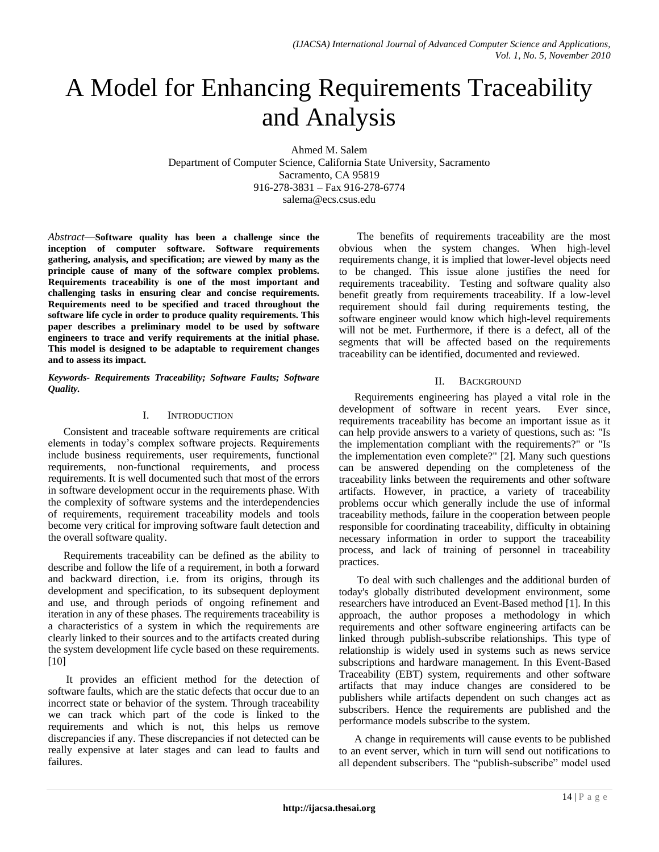# A Model for Enhancing Requirements Traceability and Analysis

Ahmed M. Salem Department of Computer Science, California State University, Sacramento Sacramento, CA 95819 916-278-3831 – Fax 916-278-6774 salema@ecs.csus.edu

*Abstract*—**Software quality has been a challenge since the inception of computer software. Software requirements gathering, analysis, and specification; are viewed by many as the principle cause of many of the software complex problems. Requirements traceability is one of the most important and challenging tasks in ensuring clear and concise requirements. Requirements need to be specified and traced throughout the software life cycle in order to produce quality requirements. This paper describes a preliminary model to be used by software engineers to trace and verify requirements at the initial phase. This model is designed to be adaptable to requirement changes and to assess its impact.**

*Keywords- Requirements Traceability; Software Faults; Software Quality.*

## I. INTRODUCTION

Consistent and traceable software requirements are critical elements in today's complex software projects. Requirements include business requirements, user requirements, functional requirements, non-functional requirements, and process requirements. It is well documented such that most of the errors in software development occur in the requirements phase. With the complexity of software systems and the interdependencies of requirements, requirement traceability models and tools become very critical for improving software fault detection and the overall software quality.

Requirements traceability can be defined as the ability to describe and follow the life of a requirement, in both a forward and backward direction, i.e. from its origins, through its development and specification, to its subsequent deployment and use, and through periods of ongoing refinement and iteration in any of these phases. The requirements traceability is a characteristics of a system in which the requirements are clearly linked to their sources and to the artifacts created during the system development life cycle based on these requirements. [10]

It provides an efficient method for the detection of software faults, which are the static defects that occur due to an incorrect state or behavior of the system. Through traceability we can track which part of the code is linked to the requirements and which is not, this helps us remove discrepancies if any. These discrepancies if not detected can be really expensive at later stages and can lead to faults and failures.

The benefits of requirements traceability are the most obvious when the system changes. When high-level requirements change, it is implied that lower-level objects need to be changed. This issue alone justifies the need for requirements traceability. Testing and software quality also benefit greatly from requirements traceability. If a low-level requirement should fail during requirements testing, the software engineer would know which high-level requirements will not be met. Furthermore, if there is a defect, all of the segments that will be affected based on the requirements traceability can be identified, documented and reviewed.

## II. BACKGROUND

Requirements engineering has played a vital role in the development of software in recent years. Ever since, requirements traceability has become an important issue as it can help provide answers to a variety of questions, such as: "Is the implementation compliant with the requirements?" or "Is the implementation even complete?" [2]. Many such questions can be answered depending on the completeness of the traceability links between the requirements and other software artifacts. However, in practice, a variety of traceability problems occur which generally include the use of informal traceability methods, failure in the cooperation between people responsible for coordinating traceability, difficulty in obtaining necessary information in order to support the traceability process, and lack of training of personnel in traceability practices.

To deal with such challenges and the additional burden of today's globally distributed development environment, some researchers have introduced an Event-Based method [1]. In this approach, the author proposes a methodology in which requirements and other software engineering artifacts can be linked through publish-subscribe relationships. This type of relationship is widely used in systems such as news service subscriptions and hardware management. In this Event-Based Traceability (EBT) system, requirements and other software artifacts that may induce changes are considered to be publishers while artifacts dependent on such changes act as subscribers. Hence the requirements are published and the performance models subscribe to the system.

A change in requirements will cause events to be published to an event server, which in turn will send out notifications to all dependent subscribers. The "publish-subscribe" model used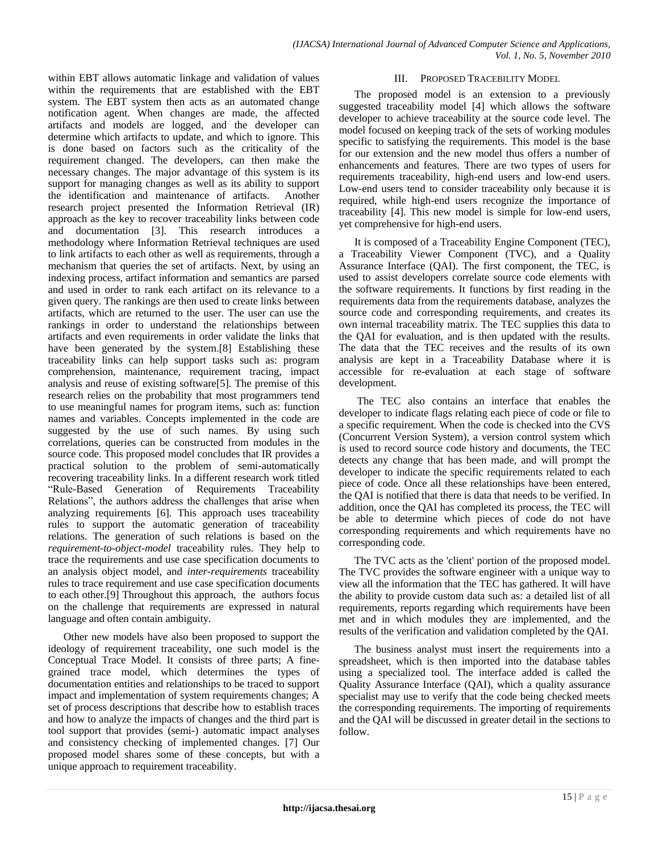within EBT allows automatic linkage and validation of values within the requirements that are established with the EBT system. The EBT system then acts as an automated change notification agent. When changes are made, the affected artifacts and models are logged, and the developer can determine which artifacts to update, and which to ignore. This is done based on factors such as the criticality of the requirement changed. The developers, can then make the necessary changes. The major advantage of this system is its support for managing changes as well as its ability to support the identification and maintenance of artifacts. Another research project presented the Information Retrieval (IR) approach as the key to recover traceability links between code and documentation [3]. This research introduces a methodology where Information Retrieval techniques are used to link artifacts to each other as well as requirements, through a mechanism that queries the set of artifacts. Next, by using an indexing process, artifact information and semantics are parsed and used in order to rank each artifact on its relevance to a given query. The rankings are then used to create links between artifacts, which are returned to the user. The user can use the rankings in order to understand the relationships between artifacts and even requirements in order validate the links that have been generated by the system.[8] Establishing these traceability links can help support tasks such as: program comprehension, maintenance, requirement tracing, impact analysis and reuse of existing software[5]. The premise of this research relies on the probability that most programmers tend to use meaningful names for program items, such as: function names and variables. Concepts implemented in the code are suggested by the use of such names. By using such correlations, queries can be constructed from modules in the source code. This proposed model concludes that IR provides a practical solution to the problem of semi-automatically recovering traceability links. In a different research work titled "Rule-Based Generation of Requirements Traceability Relations", the authors address the challenges that arise when analyzing requirements [6]. This approach uses traceability rules to support the automatic generation of traceability relations. The generation of such relations is based on the *requirement-to-object-model* traceability rules. They help to trace the requirements and use case specification documents to an analysis object model, and *inter-requirements* traceability rules to trace requirement and use case specification documents to each other.[9] Throughout this approach, the authors focus on the challenge that requirements are expressed in natural language and often contain ambiguity.

Other new models have also been proposed to support the ideology of requirement traceability, one such model is the Conceptual Trace Model. It consists of three parts; A finegrained trace model, which determines the types of documentation entities and relationships to be traced to support impact and implementation of system requirements changes; A set of process descriptions that describe how to establish traces and how to analyze the impacts of changes and the third part is tool support that provides (semi-) automatic impact analyses and consistency checking of implemented changes. [7] Our proposed model shares some of these concepts, but with a unique approach to requirement traceability.

## III. PROPOSED TRACEBILITY MODEL

The proposed model is an extension to a previously suggested traceability model [4] which allows the software developer to achieve traceability at the source code level. The model focused on keeping track of the sets of working modules specific to satisfying the requirements. This model is the base for our extension and the new model thus offers a number of enhancements and features. There are two types of users for requirements traceability, high-end users and low-end users. Low-end users tend to consider traceability only because it is required, while high-end users recognize the importance of traceability [4]. This new model is simple for low-end users, yet comprehensive for high-end users.

It is composed of a Traceability Engine Component (TEC), a Traceability Viewer Component (TVC), and a Quality Assurance Interface (QAI). The first component, the TEC, is used to assist developers correlate source code elements with the software requirements. It functions by first reading in the requirements data from the requirements database, analyzes the source code and corresponding requirements, and creates its own internal traceability matrix. The TEC supplies this data to the QAI for evaluation, and is then updated with the results. The data that the TEC receives and the results of its own analysis are kept in a Traceability Database where it is accessible for re-evaluation at each stage of software development.

The TEC also contains an interface that enables the developer to indicate flags relating each piece of code or file to a specific requirement. When the code is checked into the CVS (Concurrent Version System), a version control system which is used to record source code history and documents, the TEC detects any change that has been made, and will prompt the developer to indicate the specific requirements related to each piece of code. Once all these relationships have been entered, the QAI is notified that there is data that needs to be verified. In addition, once the QAI has completed its process, the TEC will be able to determine which pieces of code do not have corresponding requirements and which requirements have no corresponding code.

The TVC acts as the 'client' portion of the proposed model. The TVC provides the software engineer with a unique way to view all the information that the TEC has gathered. It will have the ability to provide custom data such as: a detailed list of all requirements, reports regarding which requirements have been met and in which modules they are implemented, and the results of the verification and validation completed by the QAI.

The business analyst must insert the requirements into a spreadsheet, which is then imported into the database tables using a specialized tool. The interface added is called the Quality Assurance Interface (QAI), which a quality assurance specialist may use to verify that the code being checked meets the corresponding requirements. The importing of requirements and the QAI will be discussed in greater detail in the sections to follow.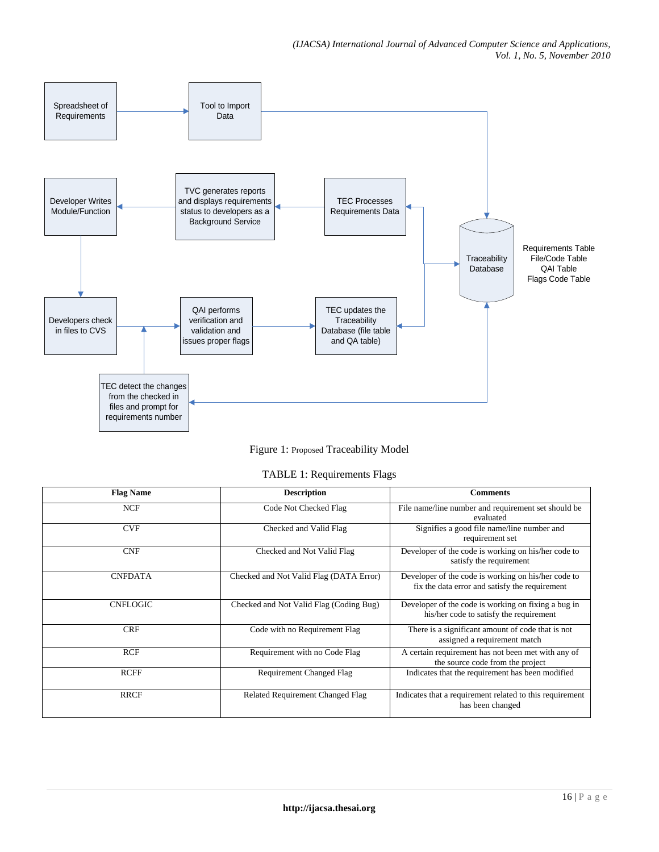

# Figure 1: Proposed Traceability Model

| <b>Flag Name</b> | <b>Description</b>                      | <b>Comments</b>                                                                                       |
|------------------|-----------------------------------------|-------------------------------------------------------------------------------------------------------|
| <b>NCF</b>       | Code Not Checked Flag                   | File name/line number and requirement set should be<br>evaluated                                      |
| <b>CVF</b>       | Checked and Valid Flag                  | Signifies a good file name/line number and<br>requirement set                                         |
| <b>CNF</b>       | Checked and Not Valid Flag              | Developer of the code is working on his/her code to<br>satisfy the requirement                        |
| <b>CNFDATA</b>   | Checked and Not Valid Flag (DATA Error) | Developer of the code is working on his/her code to<br>fix the data error and satisfy the requirement |
| <b>CNFLOGIC</b>  | Checked and Not Valid Flag (Coding Bug) | Developer of the code is working on fixing a bug in<br>his/her code to satisfy the requirement        |
| <b>CRF</b>       | Code with no Requirement Flag           | There is a significant amount of code that is not<br>assigned a requirement match                     |
| <b>RCF</b>       | Requirement with no Code Flag           | A certain requirement has not been met with any of<br>the source code from the project                |
| <b>RCFF</b>      | <b>Requirement Changed Flag</b>         | Indicates that the requirement has been modified                                                      |
| <b>RRCF</b>      | Related Requirement Changed Flag        | Indicates that a requirement related to this requirement<br>has been changed                          |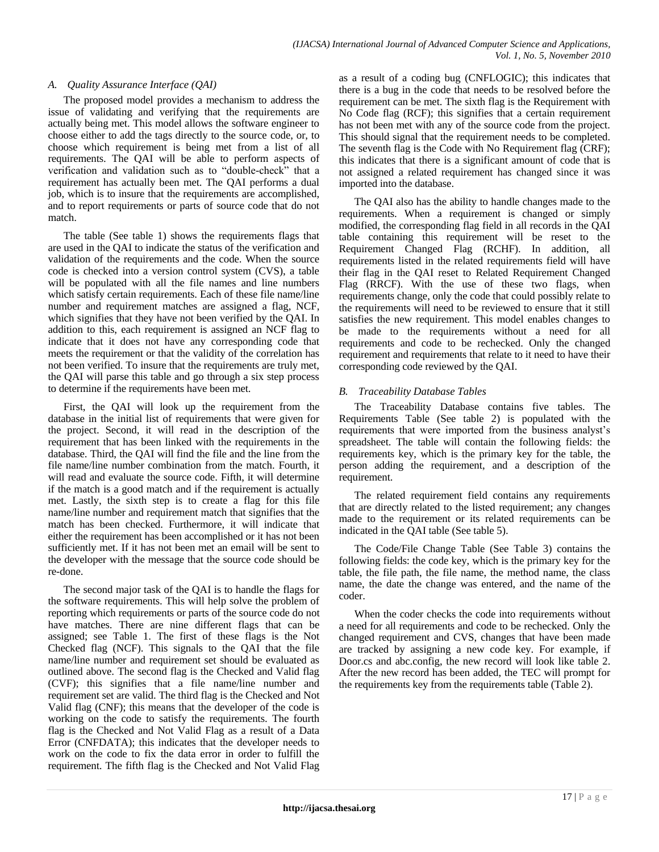## *A. Quality Assurance Interface (QAI)*

The proposed model provides a mechanism to address the issue of validating and verifying that the requirements are actually being met. This model allows the software engineer to choose either to add the tags directly to the source code, or, to choose which requirement is being met from a list of all requirements. The QAI will be able to perform aspects of verification and validation such as to "double-check" that a requirement has actually been met. The QAI performs a dual job, which is to insure that the requirements are accomplished, and to report requirements or parts of source code that do not match.

The table (See table 1) shows the requirements flags that are used in the QAI to indicate the status of the verification and validation of the requirements and the code. When the source code is checked into a version control system (CVS), a table will be populated with all the file names and line numbers which satisfy certain requirements. Each of these file name/line number and requirement matches are assigned a flag, NCF, which signifies that they have not been verified by the QAI. In addition to this, each requirement is assigned an NCF flag to indicate that it does not have any corresponding code that meets the requirement or that the validity of the correlation has not been verified. To insure that the requirements are truly met, the QAI will parse this table and go through a six step process to determine if the requirements have been met.

First, the QAI will look up the requirement from the database in the initial list of requirements that were given for the project. Second, it will read in the description of the requirement that has been linked with the requirements in the database. Third, the QAI will find the file and the line from the file name/line number combination from the match. Fourth, it will read and evaluate the source code. Fifth, it will determine if the match is a good match and if the requirement is actually met. Lastly, the sixth step is to create a flag for this file name/line number and requirement match that signifies that the match has been checked. Furthermore, it will indicate that either the requirement has been accomplished or it has not been sufficiently met. If it has not been met an email will be sent to the developer with the message that the source code should be re-done.

The second major task of the QAI is to handle the flags for the software requirements. This will help solve the problem of reporting which requirements or parts of the source code do not have matches. There are nine different flags that can be assigned; see Table 1. The first of these flags is the Not Checked flag (NCF). This signals to the QAI that the file name/line number and requirement set should be evaluated as outlined above. The second flag is the Checked and Valid flag (CVF); this signifies that a file name/line number and requirement set are valid. The third flag is the Checked and Not Valid flag (CNF); this means that the developer of the code is working on the code to satisfy the requirements. The fourth flag is the Checked and Not Valid Flag as a result of a Data Error (CNFDATA); this indicates that the developer needs to work on the code to fix the data error in order to fulfill the requirement. The fifth flag is the Checked and Not Valid Flag

as a result of a coding bug (CNFLOGIC); this indicates that there is a bug in the code that needs to be resolved before the requirement can be met. The sixth flag is the Requirement with No Code flag (RCF); this signifies that a certain requirement has not been met with any of the source code from the project. This should signal that the requirement needs to be completed. The seventh flag is the Code with No Requirement flag (CRF); this indicates that there is a significant amount of code that is not assigned a related requirement has changed since it was imported into the database.

The QAI also has the ability to handle changes made to the requirements. When a requirement is changed or simply modified, the corresponding flag field in all records in the QAI table containing this requirement will be reset to the Requirement Changed Flag (RCHF). In addition, all requirements listed in the related requirements field will have their flag in the QAI reset to Related Requirement Changed Flag (RRCF). With the use of these two flags, when requirements change, only the code that could possibly relate to the requirements will need to be reviewed to ensure that it still satisfies the new requirement. This model enables changes to be made to the requirements without a need for all requirements and code to be rechecked. Only the changed requirement and requirements that relate to it need to have their corresponding code reviewed by the QAI.

## *B. Traceability Database Tables*

The Traceability Database contains five tables. The Requirements Table (See table 2) is populated with the requirements that were imported from the business analyst's spreadsheet. The table will contain the following fields: the requirements key, which is the primary key for the table, the person adding the requirement, and a description of the requirement.

The related requirement field contains any requirements that are directly related to the listed requirement; any changes made to the requirement or its related requirements can be indicated in the QAI table (See table 5).

The Code/File Change Table (See Table 3) contains the following fields: the code key, which is the primary key for the table, the file path, the file name, the method name, the class name, the date the change was entered, and the name of the coder.

When the coder checks the code into requirements without a need for all requirements and code to be rechecked. Only the changed requirement and CVS, changes that have been made are tracked by assigning a new code key. For example, if Door.cs and abc.config, the new record will look like table 2. After the new record has been added, the TEC will prompt for the requirements key from the requirements table (Table 2).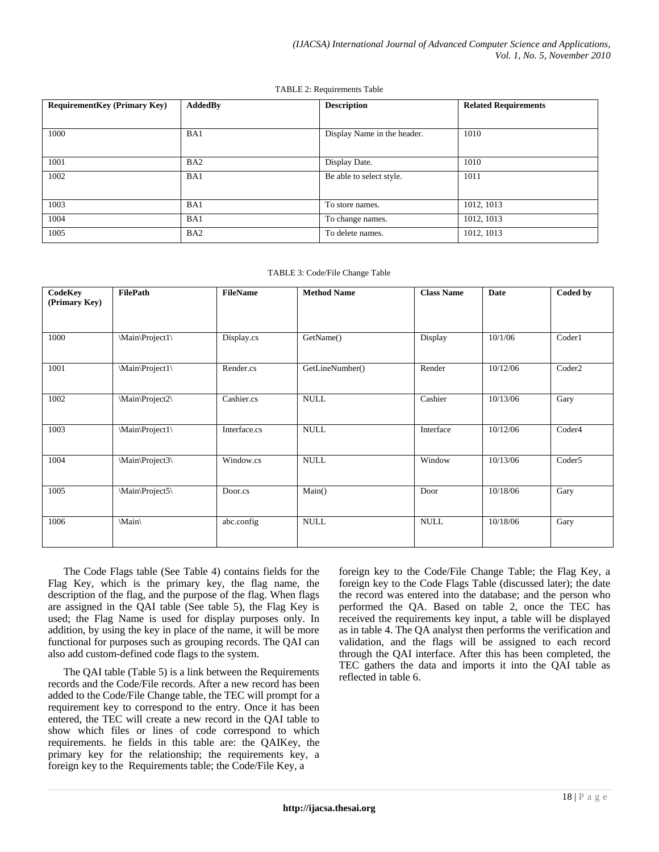| TABLE 2: Requirements Table |
|-----------------------------|
|-----------------------------|

| <b>RequirementKey (Primary Key)</b> | <b>AddedBy</b>  | <b>Description</b>          | <b>Related Requirements</b> |
|-------------------------------------|-----------------|-----------------------------|-----------------------------|
|                                     |                 |                             |                             |
| 1000                                | BA1             | Display Name in the header. | 1010                        |
|                                     |                 |                             |                             |
| 1001                                | BA <sub>2</sub> | Display Date.               | 1010                        |
| 1002                                | BA1             | Be able to select style.    | 1011                        |
|                                     |                 |                             |                             |
| 1003                                | BA1             | To store names.             | 1012, 1013                  |
| 1004                                | BA1             | To change names.            | 1012, 1013                  |
| 1005                                | BA <sub>2</sub> | To delete names.            | 1012, 1013                  |

#### TABLE 3: Code/File Change Table

| CodeKey<br>(Primary Key) | FilePath        | <b>FileName</b> | <b>Method Name</b> | <b>Class Name</b> | Date     | Coded by           |
|--------------------------|-----------------|-----------------|--------------------|-------------------|----------|--------------------|
| 1000                     | \Main\Project1\ | Display.cs      | GetName()          | Display           | 10/1/06  | Coder1             |
| 1001                     | \Main\Project1\ | Render.cs       | GetLineNumber()    | Render            | 10/12/06 | Coder2             |
| 1002                     | \Main\Project2\ | Cashier.cs      | <b>NULL</b>        | Cashier           | 10/13/06 | Gary               |
| 1003                     | \Main\Project1\ | Interface.cs    | <b>NULL</b>        | Interface         | 10/12/06 | Coder4             |
| 1004                     | \Main\Project3\ | Window.cs       | <b>NULL</b>        | Window            | 10/13/06 | Coder <sub>5</sub> |
| 1005                     | \Main\Project5\ | Door.cs         | Main()             | Door              | 10/18/06 | Gary               |
| 1006                     | \Main\          | abc.config      | <b>NULL</b>        | <b>NULL</b>       | 10/18/06 | Gary               |

The Code Flags table (See Table 4) contains fields for the Flag Key, which is the primary key, the flag name, the description of the flag, and the purpose of the flag. When flags are assigned in the QAI table (See table 5), the Flag Key is used; the Flag Name is used for display purposes only. In addition, by using the key in place of the name, it will be more functional for purposes such as grouping records. The QAI can also add custom-defined code flags to the system.

The QAI table (Table 5) is a link between the Requirements records and the Code/File records. After a new record has been added to the Code/File Change table, the TEC will prompt for a requirement key to correspond to the entry. Once it has been entered, the TEC will create a new record in the QAI table to show which files or lines of code correspond to which requirements. he fields in this table are: the QAIKey, the primary key for the relationship; the requirements key, a foreign key to the Requirements table; the Code/File Key, a

foreign key to the Code/File Change Table; the Flag Key, a foreign key to the Code Flags Table (discussed later); the date the record was entered into the database; and the person who performed the QA. Based on table 2, once the TEC has received the requirements key input, a table will be displayed as in table 4. The QA analyst then performs the verification and validation, and the flags will be assigned to each record through the QAI interface. After this has been completed, the TEC gathers the data and imports it into the QAI table as reflected in table 6.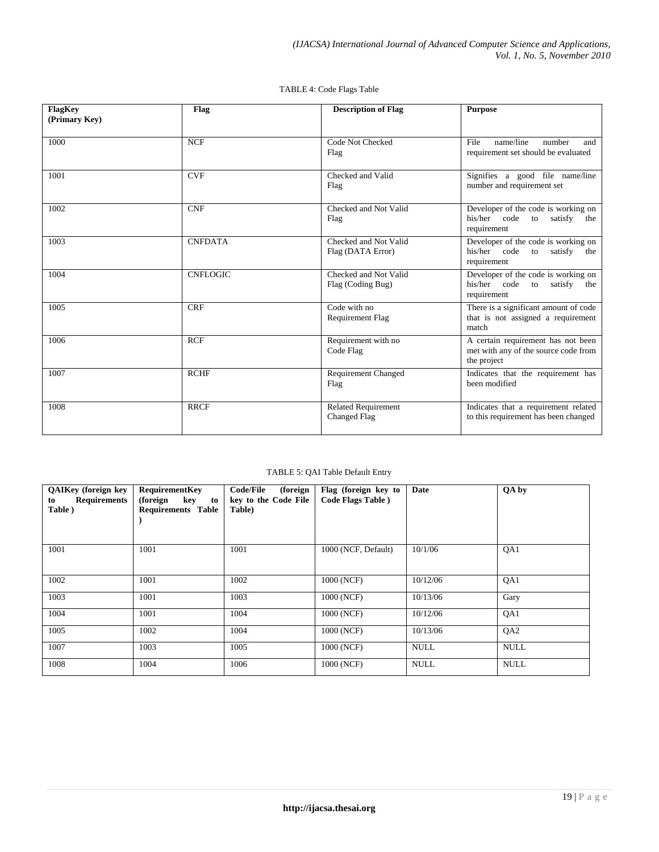| <b>FlagKey</b><br>(Primary Key) | Flag            | <b>Description of Flag</b>                 | <b>Purpose</b>                                                                            |
|---------------------------------|-----------------|--------------------------------------------|-------------------------------------------------------------------------------------------|
| 1000                            | <b>NCF</b>      | Code Not Checked<br>Flag                   | name/line<br>File<br>number<br>and<br>requirement set should be evaluated                 |
| 1001                            | <b>CVF</b>      | Checked and Valid<br>Flag                  | Signifies a good file name/line<br>number and requirement set                             |
| 1002                            | <b>CNF</b>      | Checked and Not Valid<br>Flag              | Developer of the code is working on<br>his/her code to<br>satisfy<br>the<br>requirement   |
| 1003                            | <b>CNFDATA</b>  | Checked and Not Valid<br>Flag (DATA Error) | Developer of the code is working on<br>his/her code to satisfy the<br>requirement         |
| 1004                            | <b>CNFLOGIC</b> | Checked and Not Valid<br>Flag (Coding Bug) | Developer of the code is working on<br>his/her code to<br>satisfy the<br>requirement      |
| 1005                            | <b>CRF</b>      | Code with no<br><b>Requirement Flag</b>    | There is a significant amount of code<br>that is not assigned a requirement<br>match      |
| 1006                            | <b>RCF</b>      | Requirement with no<br>Code Flag           | A certain requirement has not been<br>met with any of the source code from<br>the project |
| 1007                            | <b>RCHF</b>     | <b>Requirement Changed</b><br>Flag         | Indicates that the requirement has<br>been modified                                       |
| 1008                            | <b>RRCF</b>     | <b>Related Requirement</b><br>Changed Flag | Indicates that a requirement related<br>to this requirement has been changed              |

## TABLE 4: Code Flags Table

## TABLE 5: QAI Table Default Entry

| <b>QAIKey</b> (foreign key<br><b>Requirements</b><br>to<br>Table) | <b>RequirementKey</b><br>(foreign<br>kev<br>to<br><b>Requirements Table</b> | Code/File<br>(foreign)<br>key to the Code File<br>Table) | Flag (foreign key to<br><b>Code Flags Table</b> ) | Date        | QA by           |
|-------------------------------------------------------------------|-----------------------------------------------------------------------------|----------------------------------------------------------|---------------------------------------------------|-------------|-----------------|
| 1001                                                              | 1001                                                                        | 1001                                                     | 1000 (NCF, Default)                               | 10/1/06     | QA1             |
| 1002                                                              | 1001                                                                        | 1002                                                     | 1000 (NCF)                                        | 10/12/06    | QA1             |
| 1003                                                              | 1001                                                                        | 1003                                                     | 1000 (NCF)                                        | 10/13/06    | Gary            |
| 1004                                                              | 1001                                                                        | 1004                                                     | 1000 (NCF)                                        | 10/12/06    | QA1             |
| 1005                                                              | 1002                                                                        | 1004                                                     | 1000 (NCF)                                        | 10/13/06    | QA <sub>2</sub> |
| 1007                                                              | 1003                                                                        | 1005                                                     | 1000 (NCF)                                        | <b>NULL</b> | <b>NULL</b>     |
| 1008                                                              | 1004                                                                        | 1006                                                     | 1000 (NCF)                                        | <b>NULL</b> | <b>NULL</b>     |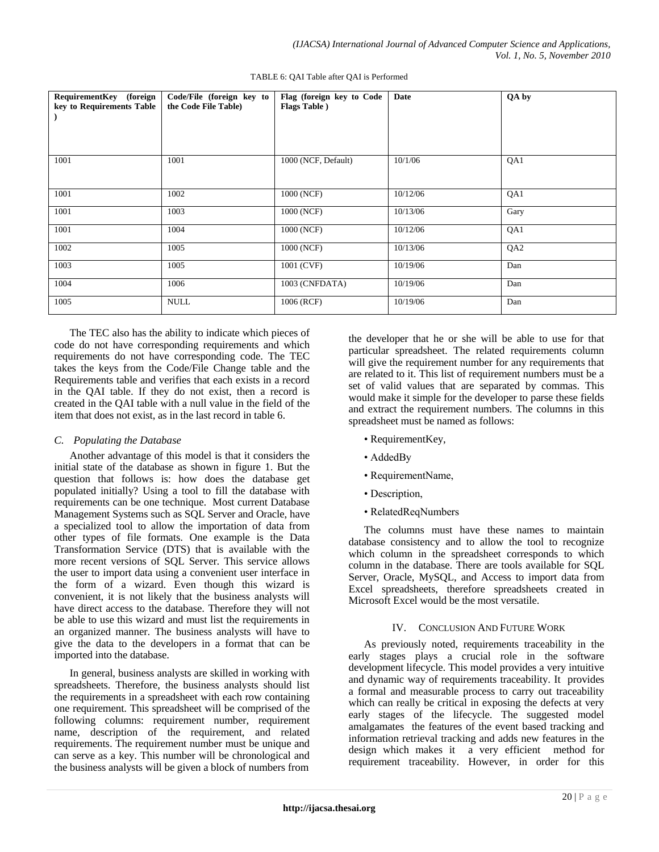| RequirementKey (foreign<br>key to Requirements Table | Code/File (foreign key to<br>the Code File Table) | Flag (foreign key to Code<br><b>Flags Table</b> ) | Date     | QA by           |
|------------------------------------------------------|---------------------------------------------------|---------------------------------------------------|----------|-----------------|
| 1001                                                 | 1001                                              | 1000 (NCF, Default)                               | 10/1/06  | QA1             |
| 1001                                                 | 1002                                              | 1000 (NCF)                                        | 10/12/06 | QA1             |
| 1001                                                 | 1003                                              | 1000 (NCF)                                        | 10/13/06 | Gary            |
| 1001                                                 | 1004                                              | 1000 (NCF)                                        | 10/12/06 | QA1             |
| 1002                                                 | 1005                                              | 1000 (NCF)                                        | 10/13/06 | QA <sub>2</sub> |
| 1003                                                 | 1005                                              | 1001 (CVF)                                        | 10/19/06 | Dan             |
| 1004                                                 | 1006                                              | 1003 (CNFDATA)                                    | 10/19/06 | Dan             |
| 1005                                                 | <b>NULL</b>                                       | 1006 (RCF)                                        | 10/19/06 | Dan             |

### TABLE 6: QAI Table after QAI is Performed

The TEC also has the ability to indicate which pieces of code do not have corresponding requirements and which requirements do not have corresponding code. The TEC takes the keys from the Code/File Change table and the Requirements table and verifies that each exists in a record in the QAI table. If they do not exist, then a record is created in the QAI table with a null value in the field of the item that does not exist, as in the last record in table 6.

## *C. Populating the Database*

Another advantage of this model is that it considers the initial state of the database as shown in figure 1. But the question that follows is: how does the database get populated initially? Using a tool to fill the database with requirements can be one technique. Most current Database Management Systems such as SQL Server and Oracle, have a specialized tool to allow the importation of data from other types of file formats. One example is the Data Transformation Service (DTS) that is available with the more recent versions of SQL Server. This service allows the user to import data using a convenient user interface in the form of a wizard. Even though this wizard is convenient, it is not likely that the business analysts will have direct access to the database. Therefore they will not be able to use this wizard and must list the requirements in an organized manner. The business analysts will have to give the data to the developers in a format that can be imported into the database.

In general, business analysts are skilled in working with spreadsheets. Therefore, the business analysts should list the requirements in a spreadsheet with each row containing one requirement. This spreadsheet will be comprised of the following columns: requirement number, requirement name, description of the requirement, and related requirements. The requirement number must be unique and can serve as a key. This number will be chronological and the business analysts will be given a block of numbers from

the developer that he or she will be able to use for that particular spreadsheet. The related requirements column will give the requirement number for any requirements that are related to it. This list of requirement numbers must be a set of valid values that are separated by commas. This would make it simple for the developer to parse these fields and extract the requirement numbers. The columns in this spreadsheet must be named as follows:

- RequirementKey,
- AddedBy
- RequirementName,
- Description,
- RelatedReqNumbers

The columns must have these names to maintain database consistency and to allow the tool to recognize which column in the spreadsheet corresponds to which column in the database. There are tools available for SQL Server, Oracle, MySQL, and Access to import data from Excel spreadsheets, therefore spreadsheets created in Microsoft Excel would be the most versatile.

## IV. CONCLUSION AND FUTURE WORK

As previously noted, requirements traceability in the early stages plays a crucial role in the software development lifecycle. This model provides a very intuitive and dynamic way of requirements traceability. It provides a formal and measurable process to carry out traceability which can really be critical in exposing the defects at very early stages of the lifecycle. The suggested model amalgamates the features of the event based tracking and information retrieval tracking and adds new features in the design which makes it a very efficient method for requirement traceability. However, in order for this